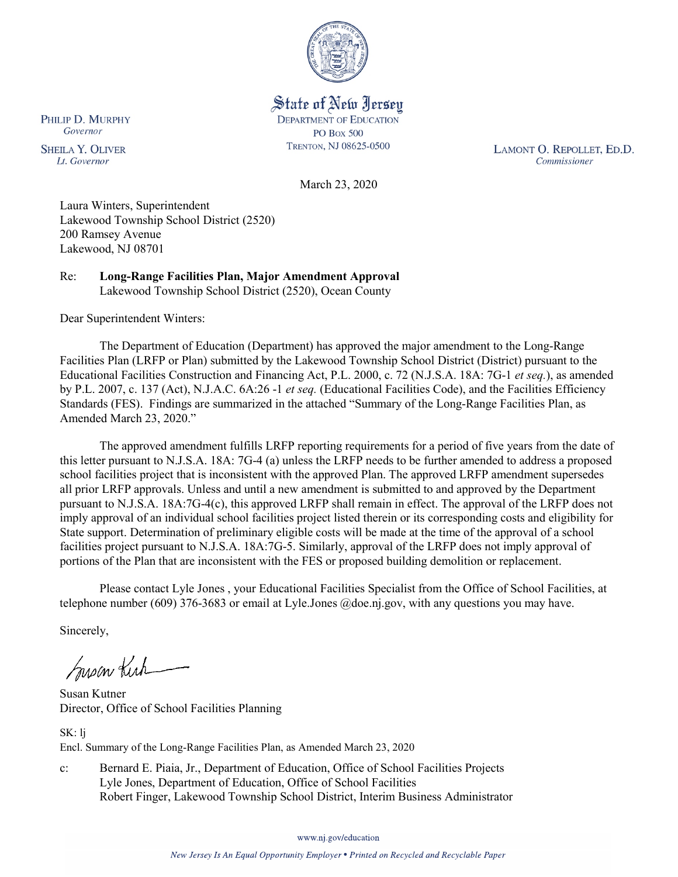

State of New Jersey **DEPARTMENT OF EDUCATION PO Box 500** TRENTON, NJ 08625-0500

LAMONT O. REPOLLET, ED.D. Commissioner

March 23, 2020

Laura Winters, Superintendent Lakewood Township School District (2520) 200 Ramsey Avenue Lakewood, NJ 08701

Re: **Long-Range Facilities Plan, Major Amendment Approval** Lakewood Township School District (2520), Ocean County

Dear Superintendent Winters:

The Department of Education (Department) has approved the major amendment to the Long-Range Facilities Plan (LRFP or Plan) submitted by the Lakewood Township School District (District) pursuant to the Educational Facilities Construction and Financing Act, P.L. 2000, c. 72 (N.J.S.A. 18A: 7G-1 *et seq.*), as amended by P.L. 2007, c. 137 (Act), N.J.A.C. 6A:26 -1 *et seq.* (Educational Facilities Code), and the Facilities Efficiency Standards (FES). Findings are summarized in the attached "Summary of the Long-Range Facilities Plan, as Amended March 23, 2020."

The approved amendment fulfills LRFP reporting requirements for a period of five years from the date of this letter pursuant to N.J.S.A. 18A: 7G-4 (a) unless the LRFP needs to be further amended to address a proposed school facilities project that is inconsistent with the approved Plan. The approved LRFP amendment supersedes all prior LRFP approvals. Unless and until a new amendment is submitted to and approved by the Department pursuant to N.J.S.A. 18A:7G-4(c), this approved LRFP shall remain in effect. The approval of the LRFP does not imply approval of an individual school facilities project listed therein or its corresponding costs and eligibility for State support. Determination of preliminary eligible costs will be made at the time of the approval of a school facilities project pursuant to N.J.S.A. 18A:7G-5. Similarly, approval of the LRFP does not imply approval of portions of the Plan that are inconsistent with the FES or proposed building demolition or replacement.

Please contact Lyle Jones , your Educational Facilities Specialist from the Office of School Facilities, at telephone number (609) 376-3683 or email at Lyle.Jones @doe.nj.gov, with any questions you may have.

Sincerely,

Susan Kich

Susan Kutner Director, Office of School Facilities Planning

SK: lj Encl. Summary of the Long-Range Facilities Plan, as Amended March 23, 2020

c: Bernard E. Piaia, Jr., Department of Education, Office of School Facilities Projects Lyle Jones, Department of Education, Office of School Facilities Robert Finger, Lakewood Township School District, Interim Business Administrator

www.nj.gov/education

PHILIP D. MURPHY Governor

**SHEILA Y. OLIVER** Lt. Governor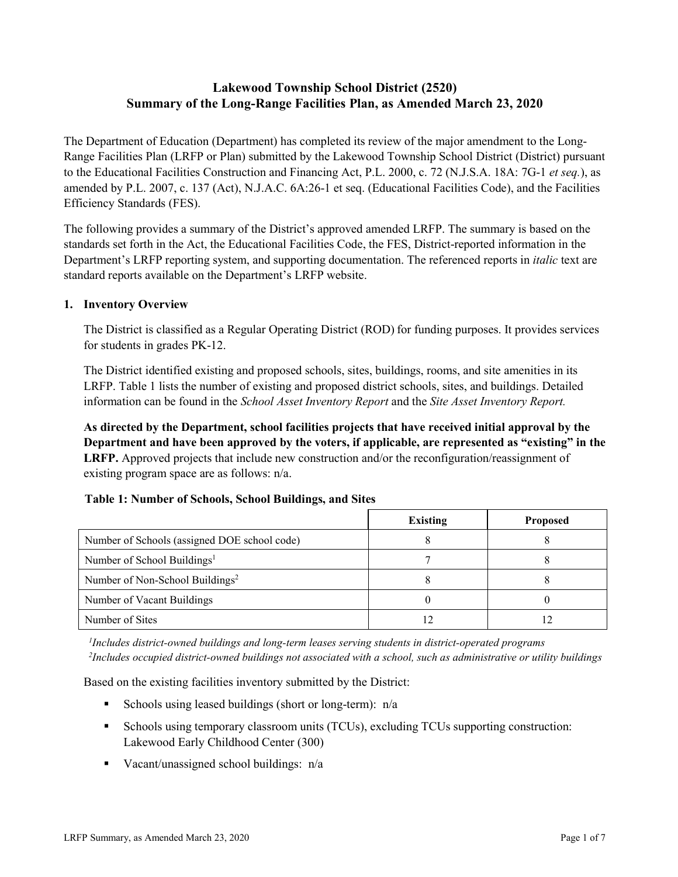# **Lakewood Township School District (2520) Summary of the Long-Range Facilities Plan, as Amended March 23, 2020**

The Department of Education (Department) has completed its review of the major amendment to the Long-Range Facilities Plan (LRFP or Plan) submitted by the Lakewood Township School District (District) pursuant to the Educational Facilities Construction and Financing Act, P.L. 2000, c. 72 (N.J.S.A. 18A: 7G-1 *et seq.*), as amended by P.L. 2007, c. 137 (Act), N.J.A.C. 6A:26-1 et seq. (Educational Facilities Code), and the Facilities Efficiency Standards (FES).

The following provides a summary of the District's approved amended LRFP. The summary is based on the standards set forth in the Act, the Educational Facilities Code, the FES, District-reported information in the Department's LRFP reporting system, and supporting documentation. The referenced reports in *italic* text are standard reports available on the Department's LRFP website.

### **1. Inventory Overview**

The District is classified as a Regular Operating District (ROD) for funding purposes. It provides services for students in grades PK-12.

The District identified existing and proposed schools, sites, buildings, rooms, and site amenities in its LRFP. Table 1 lists the number of existing and proposed district schools, sites, and buildings. Detailed information can be found in the *School Asset Inventory Report* and the *Site Asset Inventory Report.*

**As directed by the Department, school facilities projects that have received initial approval by the Department and have been approved by the voters, if applicable, are represented as "existing" in the LRFP.** Approved projects that include new construction and/or the reconfiguration/reassignment of existing program space are as follows: n/a.

# **Table 1: Number of Schools, School Buildings, and Sites**

|                                              | Existing | <b>Proposed</b> |
|----------------------------------------------|----------|-----------------|
| Number of Schools (assigned DOE school code) |          |                 |
| Number of School Buildings <sup>1</sup>      |          |                 |
| Number of Non-School Buildings <sup>2</sup>  |          |                 |
| Number of Vacant Buildings                   |          |                 |
| Number of Sites                              |          |                 |

*1 Includes district-owned buildings and long-term leases serving students in district-operated programs 2 Includes occupied district-owned buildings not associated with a school, such as administrative or utility buildings*

Based on the existing facilities inventory submitted by the District:

- Schools using leased buildings (short or long-term):  $n/a$
- Schools using temporary classroom units (TCUs), excluding TCUs supporting construction: Lakewood Early Childhood Center (300)
- Vacant/unassigned school buildings:  $n/a$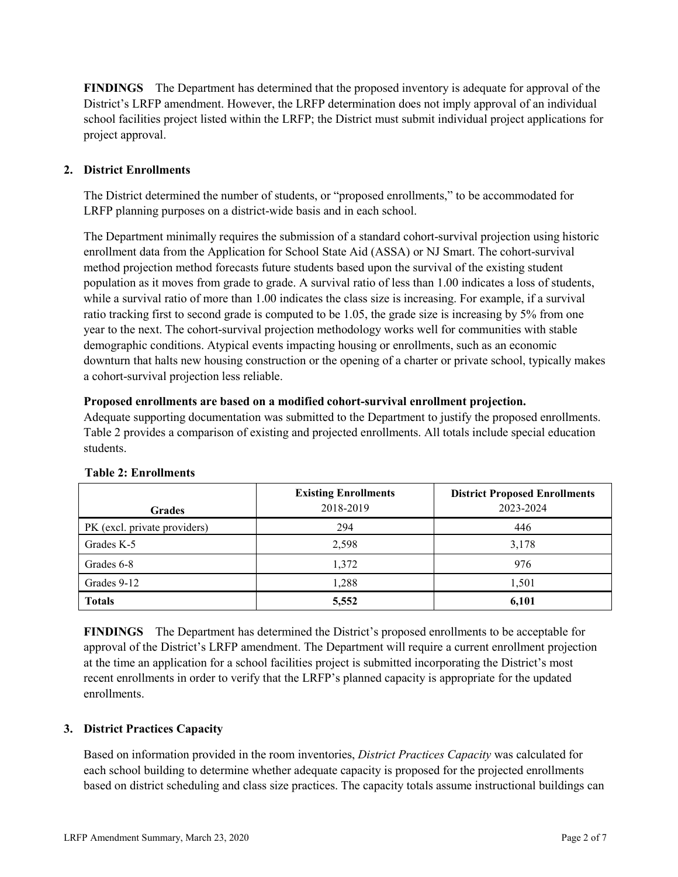**FINDINGS** The Department has determined that the proposed inventory is adequate for approval of the District's LRFP amendment. However, the LRFP determination does not imply approval of an individual school facilities project listed within the LRFP; the District must submit individual project applications for project approval.

# **2. District Enrollments**

The District determined the number of students, or "proposed enrollments," to be accommodated for LRFP planning purposes on a district-wide basis and in each school.

The Department minimally requires the submission of a standard cohort-survival projection using historic enrollment data from the Application for School State Aid (ASSA) or NJ Smart. The cohort-survival method projection method forecasts future students based upon the survival of the existing student population as it moves from grade to grade. A survival ratio of less than 1.00 indicates a loss of students, while a survival ratio of more than 1.00 indicates the class size is increasing. For example, if a survival ratio tracking first to second grade is computed to be 1.05, the grade size is increasing by 5% from one year to the next. The cohort-survival projection methodology works well for communities with stable demographic conditions. Atypical events impacting housing or enrollments, such as an economic downturn that halts new housing construction or the opening of a charter or private school, typically makes a cohort-survival projection less reliable.

#### **Proposed enrollments are based on a modified cohort-survival enrollment projection.**

Adequate supporting documentation was submitted to the Department to justify the proposed enrollments. Table 2 provides a comparison of existing and projected enrollments. All totals include special education students.

|                              | <b>Existing Enrollments</b> | <b>District Proposed Enrollments</b> |
|------------------------------|-----------------------------|--------------------------------------|
| <b>Grades</b>                | 2018-2019                   | 2023-2024                            |
| PK (excl. private providers) | 294                         | 446                                  |
| Grades K-5                   | 2,598                       | 3,178                                |
| Grades 6-8                   | 1,372                       | 976                                  |
| Grades 9-12                  | 1,288                       | 1,501                                |
| <b>Totals</b>                | 5,552                       | 6,101                                |

#### **Table 2: Enrollments**

**FINDINGS** The Department has determined the District's proposed enrollments to be acceptable for approval of the District's LRFP amendment. The Department will require a current enrollment projection at the time an application for a school facilities project is submitted incorporating the District's most recent enrollments in order to verify that the LRFP's planned capacity is appropriate for the updated enrollments.

#### **3. District Practices Capacity**

Based on information provided in the room inventories, *District Practices Capacity* was calculated for each school building to determine whether adequate capacity is proposed for the projected enrollments based on district scheduling and class size practices. The capacity totals assume instructional buildings can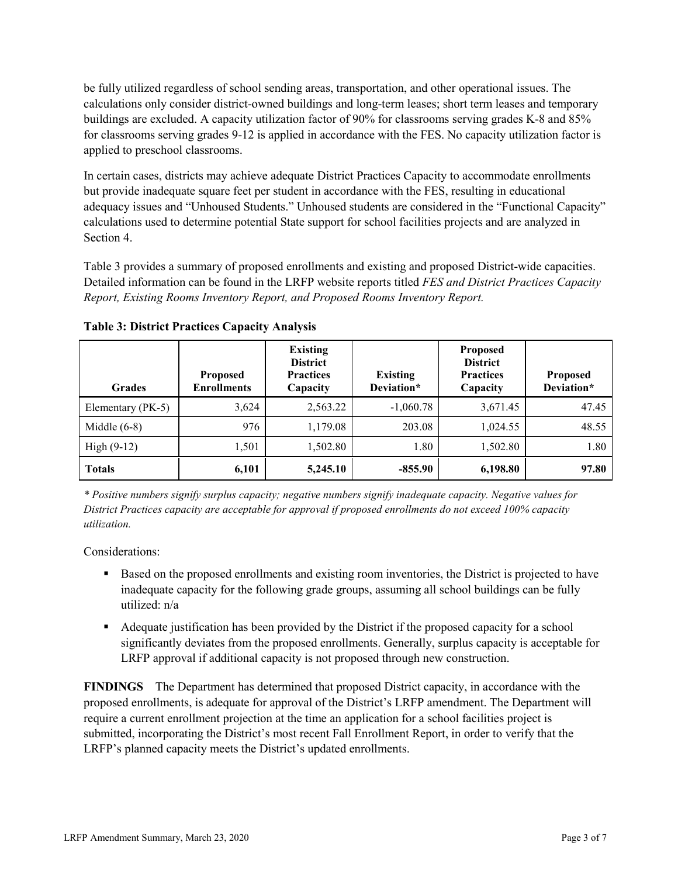be fully utilized regardless of school sending areas, transportation, and other operational issues. The calculations only consider district-owned buildings and long-term leases; short term leases and temporary buildings are excluded. A capacity utilization factor of 90% for classrooms serving grades K-8 and 85% for classrooms serving grades 9-12 is applied in accordance with the FES. No capacity utilization factor is applied to preschool classrooms.

In certain cases, districts may achieve adequate District Practices Capacity to accommodate enrollments but provide inadequate square feet per student in accordance with the FES, resulting in educational adequacy issues and "Unhoused Students." Unhoused students are considered in the "Functional Capacity" calculations used to determine potential State support for school facilities projects and are analyzed in Section 4.

Table 3 provides a summary of proposed enrollments and existing and proposed District-wide capacities. Detailed information can be found in the LRFP website reports titled *FES and District Practices Capacity Report, Existing Rooms Inventory Report, and Proposed Rooms Inventory Report.*

| <b>Grades</b>     | <b>Proposed</b><br><b>Enrollments</b> | <b>Existing</b><br><b>District</b><br><b>Practices</b><br>Capacity | <b>Existing</b><br>Deviation* | <b>Proposed</b><br><b>District</b><br><b>Practices</b><br>Capacity | <b>Proposed</b><br>Deviation* |
|-------------------|---------------------------------------|--------------------------------------------------------------------|-------------------------------|--------------------------------------------------------------------|-------------------------------|
| Elementary (PK-5) | 3,624                                 | 2,563.22                                                           | $-1,060.78$                   | 3,671.45                                                           | 47.45                         |
| Middle $(6-8)$    | 976                                   | 1,179.08                                                           | 203.08                        | 1,024.55                                                           | 48.55                         |
| High $(9-12)$     | 1,501                                 | 1,502.80                                                           | 1.80                          | 1,502.80                                                           | 1.80                          |
| <b>Totals</b>     | 6,101                                 | 5,245.10                                                           | $-855.90$                     | 6,198.80                                                           | 97.80                         |

**Table 3: District Practices Capacity Analysis**

*\* Positive numbers signify surplus capacity; negative numbers signify inadequate capacity. Negative values for District Practices capacity are acceptable for approval if proposed enrollments do not exceed 100% capacity utilization.*

Considerations:

- **Based on the proposed enrollments and existing room inventories, the District is projected to have** inadequate capacity for the following grade groups, assuming all school buildings can be fully utilized: n/a
- Adequate justification has been provided by the District if the proposed capacity for a school significantly deviates from the proposed enrollments. Generally, surplus capacity is acceptable for LRFP approval if additional capacity is not proposed through new construction.

**FINDINGS**The Department has determined that proposed District capacity, in accordance with the proposed enrollments, is adequate for approval of the District's LRFP amendment. The Department will require a current enrollment projection at the time an application for a school facilities project is submitted, incorporating the District's most recent Fall Enrollment Report, in order to verify that the LRFP's planned capacity meets the District's updated enrollments.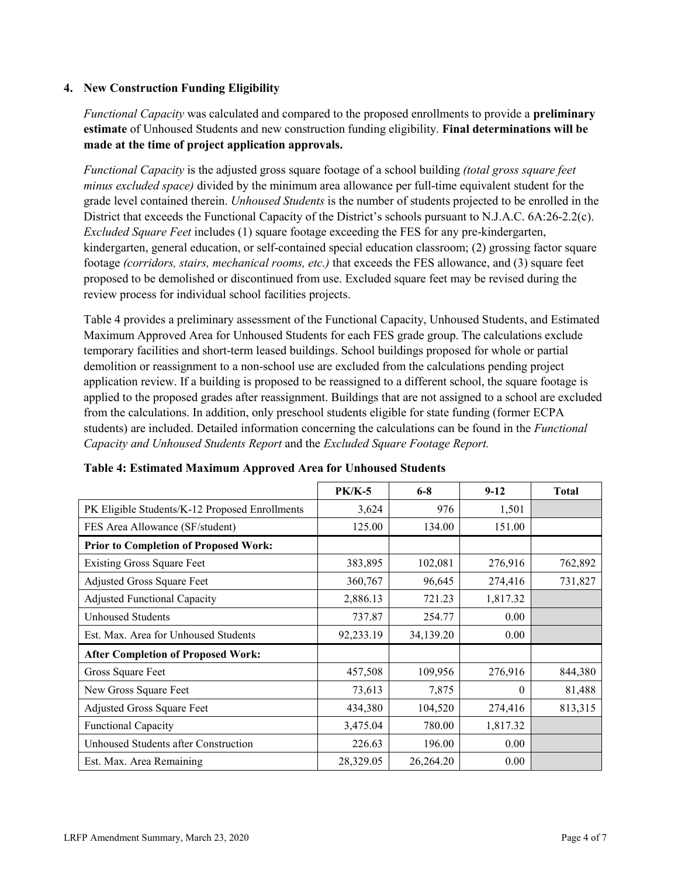### **4. New Construction Funding Eligibility**

*Functional Capacity* was calculated and compared to the proposed enrollments to provide a **preliminary estimate** of Unhoused Students and new construction funding eligibility. **Final determinations will be made at the time of project application approvals.**

*Functional Capacity* is the adjusted gross square footage of a school building *(total gross square feet minus excluded space)* divided by the minimum area allowance per full-time equivalent student for the grade level contained therein. *Unhoused Students* is the number of students projected to be enrolled in the District that exceeds the Functional Capacity of the District's schools pursuant to N.J.A.C. 6A:26-2.2(c). *Excluded Square Feet* includes (1) square footage exceeding the FES for any pre-kindergarten, kindergarten, general education, or self-contained special education classroom; (2) grossing factor square footage *(corridors, stairs, mechanical rooms, etc.)* that exceeds the FES allowance, and (3) square feet proposed to be demolished or discontinued from use. Excluded square feet may be revised during the review process for individual school facilities projects.

Table 4 provides a preliminary assessment of the Functional Capacity, Unhoused Students, and Estimated Maximum Approved Area for Unhoused Students for each FES grade group. The calculations exclude temporary facilities and short-term leased buildings. School buildings proposed for whole or partial demolition or reassignment to a non-school use are excluded from the calculations pending project application review. If a building is proposed to be reassigned to a different school, the square footage is applied to the proposed grades after reassignment. Buildings that are not assigned to a school are excluded from the calculations. In addition, only preschool students eligible for state funding (former ECPA students) are included. Detailed information concerning the calculations can be found in the *Functional Capacity and Unhoused Students Report* and the *Excluded Square Footage Report.*

|                                                | <b>PK/K-5</b> | $6 - 8$   | $9 - 12$ | <b>Total</b> |
|------------------------------------------------|---------------|-----------|----------|--------------|
| PK Eligible Students/K-12 Proposed Enrollments | 3,624         | 976       | 1,501    |              |
| FES Area Allowance (SF/student)                | 125.00        | 134.00    | 151.00   |              |
| <b>Prior to Completion of Proposed Work:</b>   |               |           |          |              |
| <b>Existing Gross Square Feet</b>              | 383,895       | 102,081   | 276,916  | 762,892      |
| Adjusted Gross Square Feet                     | 360,767       | 96,645    | 274,416  | 731,827      |
| <b>Adjusted Functional Capacity</b>            | 2,886.13      | 721.23    | 1,817.32 |              |
| Unhoused Students                              | 737.87        | 254.77    | 0.00     |              |
| Est. Max. Area for Unhoused Students           | 92,233.19     | 34,139.20 | 0.00     |              |
| <b>After Completion of Proposed Work:</b>      |               |           |          |              |
| Gross Square Feet                              | 457,508       | 109,956   | 276,916  | 844,380      |
| New Gross Square Feet                          | 73,613        | 7,875     | $\theta$ | 81,488       |
| Adjusted Gross Square Feet                     | 434,380       | 104,520   | 274,416  | 813,315      |
| Functional Capacity                            | 3,475.04      | 780.00    | 1,817.32 |              |
| Unhoused Students after Construction           | 226.63        | 196.00    | 0.00     |              |
| Est. Max. Area Remaining                       | 28,329.05     | 26,264.20 | 0.00     |              |

**Table 4: Estimated Maximum Approved Area for Unhoused Students**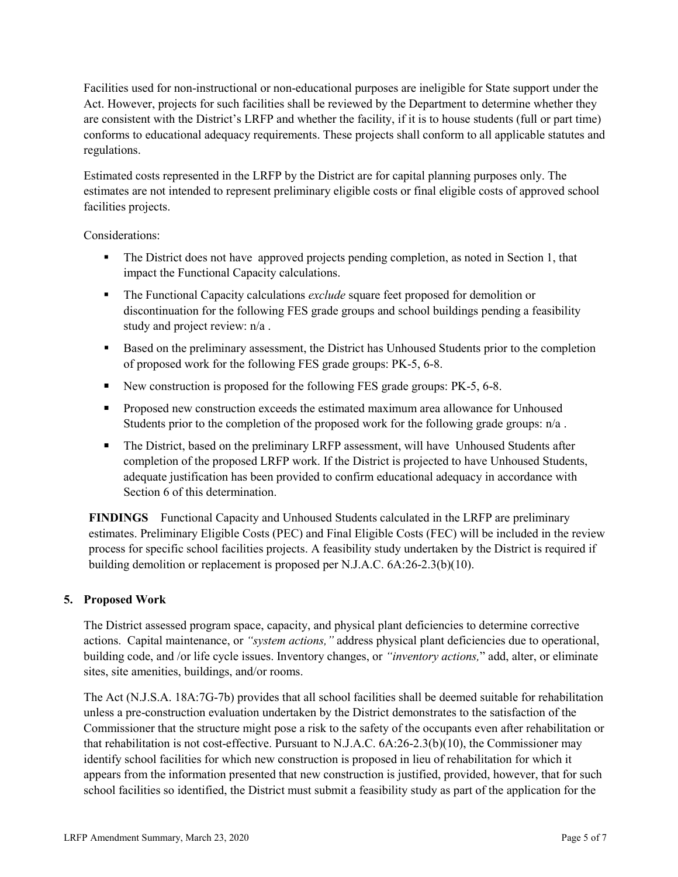Facilities used for non-instructional or non-educational purposes are ineligible for State support under the Act. However, projects for such facilities shall be reviewed by the Department to determine whether they are consistent with the District's LRFP and whether the facility, if it is to house students (full or part time) conforms to educational adequacy requirements. These projects shall conform to all applicable statutes and regulations.

Estimated costs represented in the LRFP by the District are for capital planning purposes only. The estimates are not intended to represent preliminary eligible costs or final eligible costs of approved school facilities projects.

Considerations:

- The District does not have approved projects pending completion, as noted in Section 1, that impact the Functional Capacity calculations.
- The Functional Capacity calculations *exclude* square feet proposed for demolition or discontinuation for the following FES grade groups and school buildings pending a feasibility study and project review: n/a .
- Based on the preliminary assessment, the District has Unhoused Students prior to the completion of proposed work for the following FES grade groups: PK-5, 6-8.
- New construction is proposed for the following FES grade groups: PK-5, 6-8.
- **Proposed new construction exceeds the estimated maximum area allowance for Unhoused** Students prior to the completion of the proposed work for the following grade groups:  $n/a$ .
- The District, based on the preliminary LRFP assessment, will have Unhoused Students after completion of the proposed LRFP work. If the District is projected to have Unhoused Students, adequate justification has been provided to confirm educational adequacy in accordance with Section 6 of this determination.

**FINDINGS** Functional Capacity and Unhoused Students calculated in the LRFP are preliminary estimates. Preliminary Eligible Costs (PEC) and Final Eligible Costs (FEC) will be included in the review process for specific school facilities projects. A feasibility study undertaken by the District is required if building demolition or replacement is proposed per N.J.A.C. 6A:26-2.3(b)(10).

# **5. Proposed Work**

The District assessed program space, capacity, and physical plant deficiencies to determine corrective actions. Capital maintenance, or *"system actions,"* address physical plant deficiencies due to operational, building code, and /or life cycle issues. Inventory changes, or *"inventory actions,*" add, alter, or eliminate sites, site amenities, buildings, and/or rooms.

The Act (N.J.S.A. 18A:7G-7b) provides that all school facilities shall be deemed suitable for rehabilitation unless a pre-construction evaluation undertaken by the District demonstrates to the satisfaction of the Commissioner that the structure might pose a risk to the safety of the occupants even after rehabilitation or that rehabilitation is not cost-effective. Pursuant to N.J.A.C. 6A:26-2.3(b)(10), the Commissioner may identify school facilities for which new construction is proposed in lieu of rehabilitation for which it appears from the information presented that new construction is justified, provided, however, that for such school facilities so identified, the District must submit a feasibility study as part of the application for the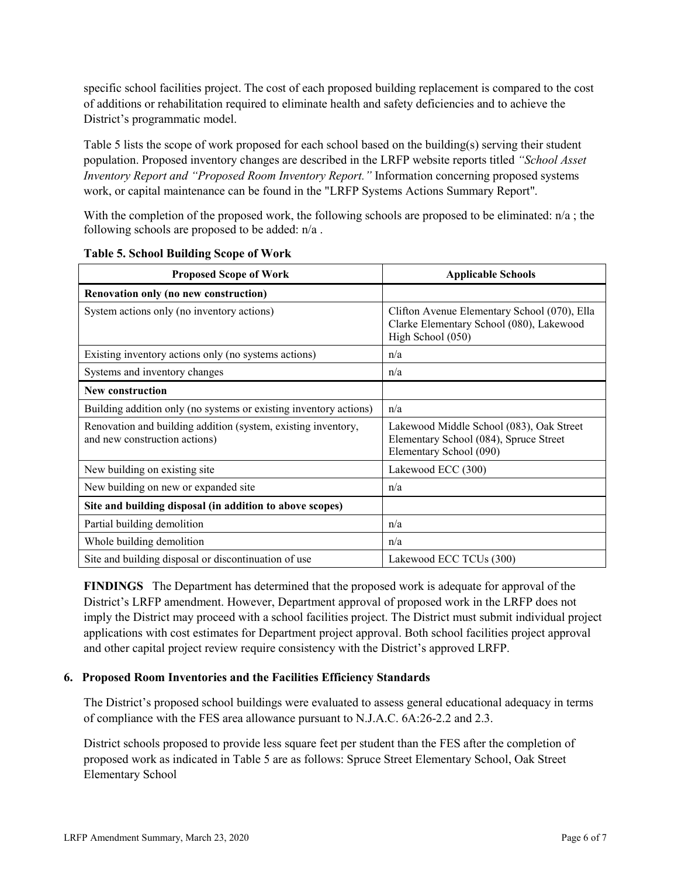specific school facilities project. The cost of each proposed building replacement is compared to the cost of additions or rehabilitation required to eliminate health and safety deficiencies and to achieve the District's programmatic model.

Table 5 lists the scope of work proposed for each school based on the building(s) serving their student population. Proposed inventory changes are described in the LRFP website reports titled *"School Asset Inventory Report and "Proposed Room Inventory Report."* Information concerning proposed systems work, or capital maintenance can be found in the "LRFP Systems Actions Summary Report".

With the completion of the proposed work, the following schools are proposed to be eliminated:  $n/a$ ; the following schools are proposed to be added: n/a .

| <b>Proposed Scope of Work</b>                                                                  | <b>Applicable Schools</b>                                                                                     |
|------------------------------------------------------------------------------------------------|---------------------------------------------------------------------------------------------------------------|
| Renovation only (no new construction)                                                          |                                                                                                               |
| System actions only (no inventory actions)                                                     | Clifton Avenue Elementary School (070), Ella<br>Clarke Elementary School (080), Lakewood<br>High School (050) |
| Existing inventory actions only (no systems actions)                                           | n/a                                                                                                           |
| Systems and inventory changes                                                                  | n/a                                                                                                           |
| <b>New construction</b>                                                                        |                                                                                                               |
| Building addition only (no systems or existing inventory actions)                              | n/a                                                                                                           |
| Renovation and building addition (system, existing inventory,<br>and new construction actions) | Lakewood Middle School (083), Oak Street<br>Elementary School (084), Spruce Street<br>Elementary School (090) |
| New building on existing site                                                                  | Lakewood ECC (300)                                                                                            |
| New building on new or expanded site                                                           | n/a                                                                                                           |
| Site and building disposal (in addition to above scopes)                                       |                                                                                                               |
| Partial building demolition                                                                    | n/a                                                                                                           |
| Whole building demolition                                                                      | n/a                                                                                                           |
| Site and building disposal or discontinuation of use                                           | Lakewood ECC TCUs (300)                                                                                       |

**Table 5. School Building Scope of Work**

**FINDINGS** The Department has determined that the proposed work is adequate for approval of the District's LRFP amendment. However, Department approval of proposed work in the LRFP does not imply the District may proceed with a school facilities project. The District must submit individual project applications with cost estimates for Department project approval. Both school facilities project approval and other capital project review require consistency with the District's approved LRFP.

#### **6. Proposed Room Inventories and the Facilities Efficiency Standards**

The District's proposed school buildings were evaluated to assess general educational adequacy in terms of compliance with the FES area allowance pursuant to N.J.A.C. 6A:26-2.2 and 2.3.

District schools proposed to provide less square feet per student than the FES after the completion of proposed work as indicated in Table 5 are as follows: Spruce Street Elementary School, Oak Street Elementary School